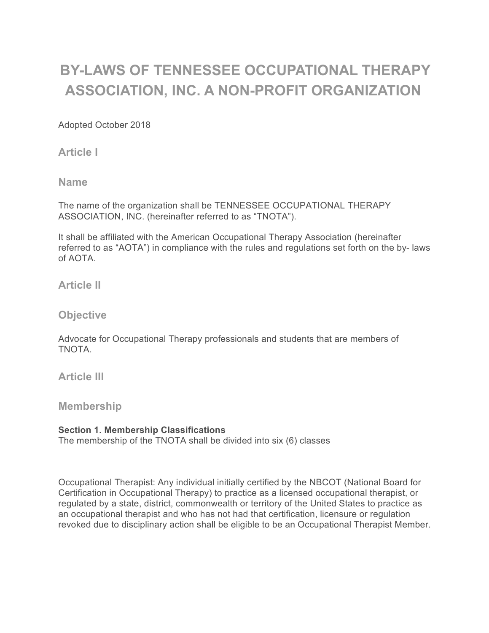# **BY-LAWS OF TENNESSEE OCCUPATIONAL THERAPY ASSOCIATION, INC. A NON-PROFIT ORGANIZATION**

Adopted October 2018

**Article I** 

**Name** 

The name of the organization shall be TENNESSEE OCCUPATIONAL THERAPY ASSOCIATION, INC. (hereinafter referred to as "TNOTA").

It shall be affiliated with the American Occupational Therapy Association (hereinafter referred to as "AOTA") in compliance with the rules and regulations set forth on the by- laws of AOTA.

**Article II**

**Objective**

Advocate for Occupational Therapy professionals and students that are members of TNOTA.

**Article III**

**Membership**

# **Section 1. Membership Classifications**

The membership of the TNOTA shall be divided into six (6) classes

Occupational Therapist: Any individual initially certified by the NBCOT (National Board for Certification in Occupational Therapy) to practice as a licensed occupational therapist, or regulated by a state, district, commonwealth or territory of the United States to practice as an occupational therapist and who has not had that certification, licensure or regulation revoked due to disciplinary action shall be eligible to be an Occupational Therapist Member.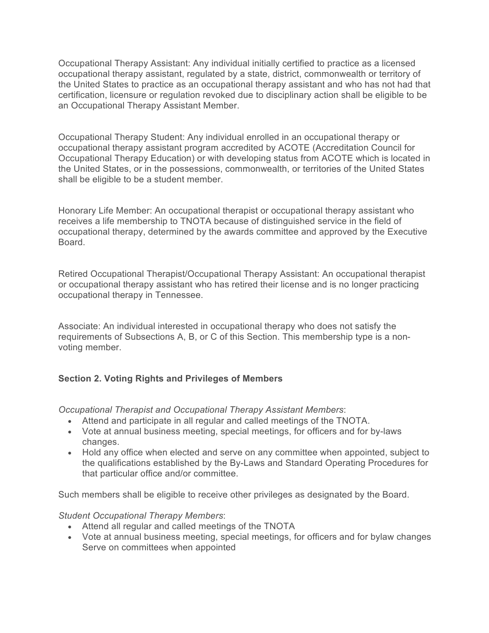Occupational Therapy Assistant: Any individual initially certified to practice as a licensed occupational therapy assistant, regulated by a state, district, commonwealth or territory of the United States to practice as an occupational therapy assistant and who has not had that certification, licensure or regulation revoked due to disciplinary action shall be eligible to be an Occupational Therapy Assistant Member.

Occupational Therapy Student: Any individual enrolled in an occupational therapy or occupational therapy assistant program accredited by ACOTE (Accreditation Council for Occupational Therapy Education) or with developing status from ACOTE which is located in the United States, or in the possessions, commonwealth, or territories of the United States shall be eligible to be a student member.

Honorary Life Member: An occupational therapist or occupational therapy assistant who receives a life membership to TNOTA because of distinguished service in the field of occupational therapy, determined by the awards committee and approved by the Executive Board.

Retired Occupational Therapist/Occupational Therapy Assistant: An occupational therapist or occupational therapy assistant who has retired their license and is no longer practicing occupational therapy in Tennessee.

Associate: An individual interested in occupational therapy who does not satisfy the requirements of Subsections A, B, or C of this Section. This membership type is a nonvoting member.

# **Section 2. Voting Rights and Privileges of Members**

*Occupational Therapist and Occupational Therapy Assistant Members*:

- Attend and participate in all regular and called meetings of the TNOTA.
- Vote at annual business meeting, special meetings, for officers and for by-laws changes.
- Hold any office when elected and serve on any committee when appointed, subject to the qualifications established by the By-Laws and Standard Operating Procedures for that particular office and/or committee.

Such members shall be eligible to receive other privileges as designated by the Board.

#### *Student Occupational Therapy Members*:

- Attend all regular and called meetings of the TNOTA
- Vote at annual business meeting, special meetings, for officers and for bylaw changes Serve on committees when appointed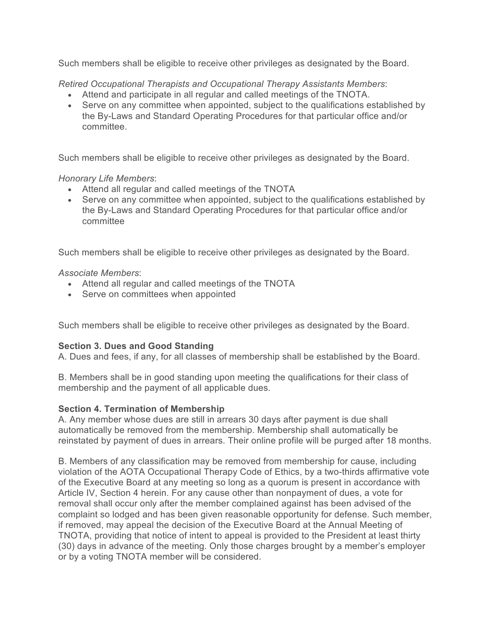Such members shall be eligible to receive other privileges as designated by the Board.

*Retired Occupational Therapists and Occupational Therapy Assistants Members*:

- Attend and participate in all regular and called meetings of the TNOTA.
- Serve on any committee when appointed, subject to the qualifications established by the By-Laws and Standard Operating Procedures for that particular office and/or committee.

Such members shall be eligible to receive other privileges as designated by the Board.

## *Honorary Life Members*:

- Attend all regular and called meetings of the TNOTA
- Serve on any committee when appointed, subject to the qualifications established by the By-Laws and Standard Operating Procedures for that particular office and/or committee

Such members shall be eligible to receive other privileges as designated by the Board.

*Associate Members*:

- Attend all regular and called meetings of the TNOTA
- Serve on committees when appointed

Such members shall be eligible to receive other privileges as designated by the Board.

# **Section 3. Dues and Good Standing**

A. Dues and fees, if any, for all classes of membership shall be established by the Board.

B. Members shall be in good standing upon meeting the qualifications for their class of membership and the payment of all applicable dues.

# **Section 4. Termination of Membership**

A. Any member whose dues are still in arrears 30 days after payment is due shall automatically be removed from the membership. Membership shall automatically be reinstated by payment of dues in arrears. Their online profile will be purged after 18 months.

B. Members of any classification may be removed from membership for cause, including violation of the AOTA Occupational Therapy Code of Ethics, by a two-thirds affirmative vote of the Executive Board at any meeting so long as a quorum is present in accordance with Article IV, Section 4 herein. For any cause other than nonpayment of dues, a vote for removal shall occur only after the member complained against has been advised of the complaint so lodged and has been given reasonable opportunity for defense. Such member, if removed, may appeal the decision of the Executive Board at the Annual Meeting of TNOTA, providing that notice of intent to appeal is provided to the President at least thirty (30) days in advance of the meeting. Only those charges brought by a member's employer or by a voting TNOTA member will be considered.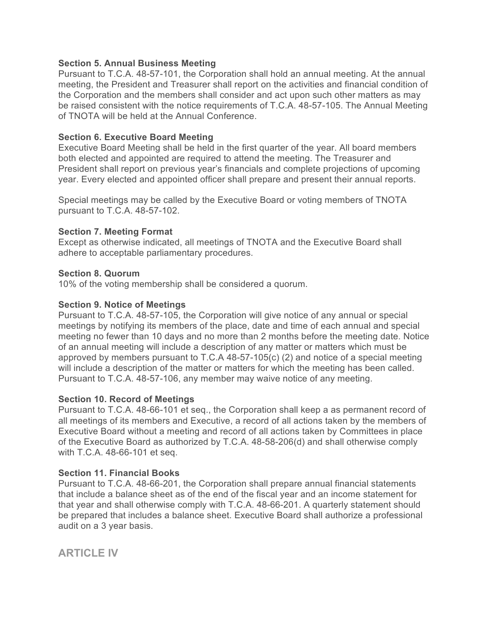#### **Section 5. Annual Business Meeting**

Pursuant to T.C.A. 48-57-101, the Corporation shall hold an annual meeting. At the annual meeting, the President and Treasurer shall report on the activities and financial condition of the Corporation and the members shall consider and act upon such other matters as may be raised consistent with the notice requirements of T.C.A. 48-57-105. The Annual Meeting of TNOTA will be held at the Annual Conference.

## **Section 6. Executive Board Meeting**

Executive Board Meeting shall be held in the first quarter of the year. All board members both elected and appointed are required to attend the meeting. The Treasurer and President shall report on previous year's financials and complete projections of upcoming year. Every elected and appointed officer shall prepare and present their annual reports.

Special meetings may be called by the Executive Board or voting members of TNOTA pursuant to T.C.A. 48-57-102.

## **Section 7. Meeting Format**

Except as otherwise indicated, all meetings of TNOTA and the Executive Board shall adhere to acceptable parliamentary procedures.

#### **Section 8. Quorum**

10% of the voting membership shall be considered a quorum.

#### **Section 9. Notice of Meetings**

Pursuant to T.C.A. 48-57-105, the Corporation will give notice of any annual or special meetings by notifying its members of the place, date and time of each annual and special meeting no fewer than 10 days and no more than 2 months before the meeting date. Notice of an annual meeting will include a description of any matter or matters which must be approved by members pursuant to T.C.A 48-57-105(c) (2) and notice of a special meeting will include a description of the matter or matters for which the meeting has been called. Pursuant to T.C.A. 48-57-106, any member may waive notice of any meeting.

# **Section 10. Record of Meetings**

Pursuant to T.C.A. 48-66-101 et seq., the Corporation shall keep a as permanent record of all meetings of its members and Executive, a record of all actions taken by the members of Executive Board without a meeting and record of all actions taken by Committees in place of the Executive Board as authorized by T.C.A. 48-58-206(d) and shall otherwise comply with T.C.A. 48-66-101 et seq.

#### **Section 11. Financial Books**

Pursuant to T.C.A. 48-66-201, the Corporation shall prepare annual financial statements that include a balance sheet as of the end of the fiscal year and an income statement for that year and shall otherwise comply with T.C.A. 48-66-201. A quarterly statement should be prepared that includes a balance sheet. Executive Board shall authorize a professional audit on a 3 year basis.

**ARTICLE IV**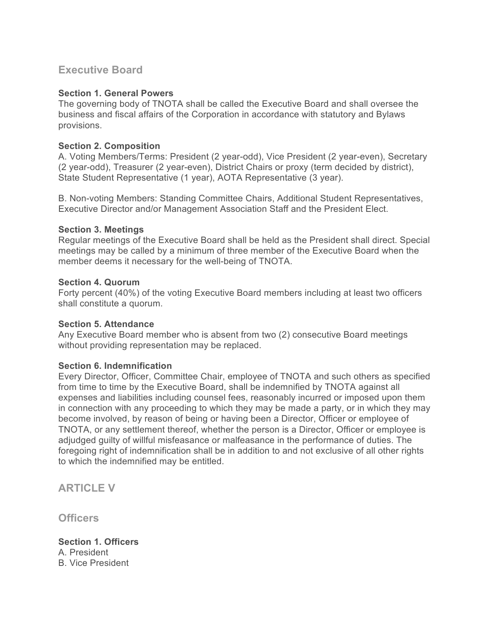# **Executive Board**

## **Section 1. General Powers**

The governing body of TNOTA shall be called the Executive Board and shall oversee the business and fiscal affairs of the Corporation in accordance with statutory and Bylaws provisions.

## **Section 2. Composition**

A. Voting Members/Terms: President (2 year-odd), Vice President (2 year-even), Secretary (2 year-odd), Treasurer (2 year-even), District Chairs or proxy (term decided by district), State Student Representative (1 year), AOTA Representative (3 year).

B. Non-voting Members: Standing Committee Chairs, Additional Student Representatives, Executive Director and/or Management Association Staff and the President Elect.

## **Section 3. Meetings**

Regular meetings of the Executive Board shall be held as the President shall direct. Special meetings may be called by a minimum of three member of the Executive Board when the member deems it necessary for the well-being of TNOTA.

## **Section 4. Quorum**

Forty percent (40%) of the voting Executive Board members including at least two officers shall constitute a quorum.

#### **Section 5. Attendance**

Any Executive Board member who is absent from two (2) consecutive Board meetings without providing representation may be replaced.

# **Section 6. Indemnification**

Every Director, Officer, Committee Chair, employee of TNOTA and such others as specified from time to time by the Executive Board, shall be indemnified by TNOTA against all expenses and liabilities including counsel fees, reasonably incurred or imposed upon them in connection with any proceeding to which they may be made a party, or in which they may become involved, by reason of being or having been a Director, Officer or employee of TNOTA, or any settlement thereof, whether the person is a Director, Officer or employee is adjudged guilty of willful misfeasance or malfeasance in the performance of duties. The foregoing right of indemnification shall be in addition to and not exclusive of all other rights to which the indemnified may be entitled.

**ARTICLE V**

**Officers**

**Section 1. Officers** A. President B. Vice President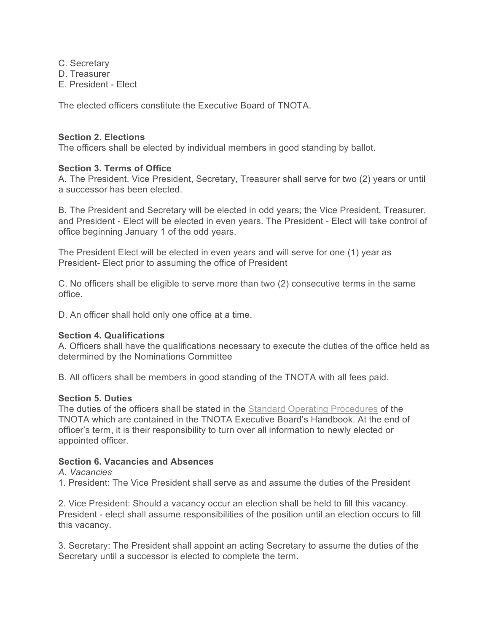C. Secretary D. Treasurer E. President - Elect

The elected officers constitute the Executive Board of TNOTA.

## **Section 2. Elections**

The officers shall be elected by individual members in good standing by ballot.

#### **Section 3. Terms of Office**

A. The President, Vice President, Secretary, Treasurer shall serve for two (2) years or until a successor has been elected.

B. The President and Secretary will be elected in odd years; the Vice President, Treasurer, and President - Elect will be elected in even years. The President - Elect will take control of office beginning January 1 of the odd years.

The President Elect will be elected in even years and will serve for one (1) year as President- Elect prior to assuming the office of President

C. No officers shall be eligible to serve more than two (2) consecutive terms in the same office.

D. An officer shall hold only one office at a time.

#### **Section 4. Qualifications**

A. Officers shall have the qualifications necessary to execute the duties of the office held as determined by the Nominations Committee

B. All officers shall be members in good standing of the TNOTA with all fees paid.

#### **Section 5. Duties**

The duties of the officers shall be stated in the Standard Operating Procedures of the TNOTA which are contained in the TNOTA Executive Board's Handbook. At the end of officer's term, it is their responsibility to turn over all information to newly elected or appointed officer.

## **Section 6. Vacancies and Absences**

#### *A. Vacancies*

1. President: The Vice President shall serve as and assume the duties of the President

2. Vice President: Should a vacancy occur an election shall be held to fill this vacancy. President - elect shall assume responsibilities of the position until an election occurs to fill this vacancy.

3. Secretary: The President shall appoint an acting Secretary to assume the duties of the Secretary until a successor is elected to complete the term.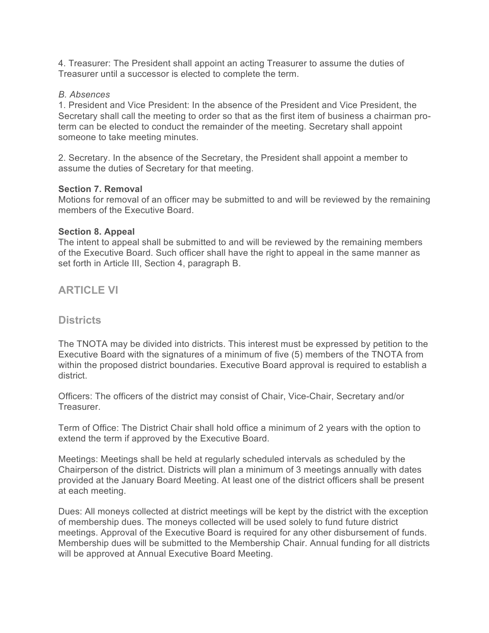4. Treasurer: The President shall appoint an acting Treasurer to assume the duties of Treasurer until a successor is elected to complete the term.

#### *B. Absences*

1. President and Vice President: In the absence of the President and Vice President, the Secretary shall call the meeting to order so that as the first item of business a chairman proterm can be elected to conduct the remainder of the meeting. Secretary shall appoint someone to take meeting minutes.

2. Secretary. In the absence of the Secretary, the President shall appoint a member to assume the duties of Secretary for that meeting.

#### **Section 7. Removal**

Motions for removal of an officer may be submitted to and will be reviewed by the remaining members of the Executive Board.

#### **Section 8. Appeal**

The intent to appeal shall be submitted to and will be reviewed by the remaining members of the Executive Board. Such officer shall have the right to appeal in the same manner as set forth in Article III, Section 4, paragraph B.

**ARTICLE VI**

# **Districts**

The TNOTA may be divided into districts. This interest must be expressed by petition to the Executive Board with the signatures of a minimum of five (5) members of the TNOTA from within the proposed district boundaries. Executive Board approval is required to establish a district.

Officers: The officers of the district may consist of Chair, Vice-Chair, Secretary and/or Treasurer.

Term of Office: The District Chair shall hold office a minimum of 2 years with the option to extend the term if approved by the Executive Board.

Meetings: Meetings shall be held at regularly scheduled intervals as scheduled by the Chairperson of the district. Districts will plan a minimum of 3 meetings annually with dates provided at the January Board Meeting. At least one of the district officers shall be present at each meeting.

Dues: All moneys collected at district meetings will be kept by the district with the exception of membership dues. The moneys collected will be used solely to fund future district meetings. Approval of the Executive Board is required for any other disbursement of funds. Membership dues will be submitted to the Membership Chair. Annual funding for all districts will be approved at Annual Executive Board Meeting.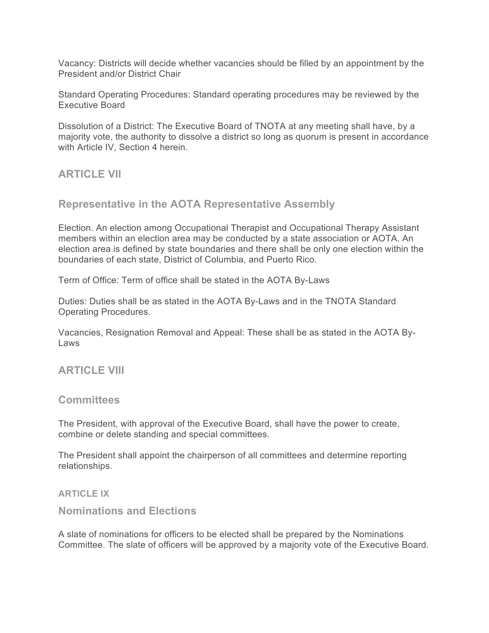Vacancy: Districts will decide whether vacancies should be filled by an appointment by the President and/or District Chair

Standard Operating Procedures: Standard operating procedures may be reviewed by the Executive Board

Dissolution of a District: The Executive Board of TNOTA at any meeting shall have, by a majority vote, the authority to dissolve a district so long as quorum is present in accordance with Article IV, Section 4 herein.

# **ARTICLE VII**

## **Representative in the AOTA Representative Assembly**

Election. An election among Occupational Therapist and Occupational Therapy Assistant members within an election area may be conducted by a state association or AOTA. An election area is defined by state boundaries and there shall be only one election within the boundaries of each state, District of Columbia, and Puerto Rico.

Term of Office: Term of office shall be stated in the AOTA By-Laws

Duties: Duties shall be as stated in the AOTA By-Laws and in the TNOTA Standard Operating Procedures.

Vacancies, Resignation Removal and Appeal: These shall be as stated in the AOTA By-Laws

# **ARTICLE VIII**

#### **Committees**

The President, with approval of the Executive Board, shall have the power to create, combine or delete standing and special committees.

The President shall appoint the chairperson of all committees and determine reporting relationships.

#### **ARTICLE IX**

# **Nominations and Elections**

A slate of nominations for officers to be elected shall be prepared by the Nominations Committee. The slate of officers will be approved by a majority vote of the Executive Board.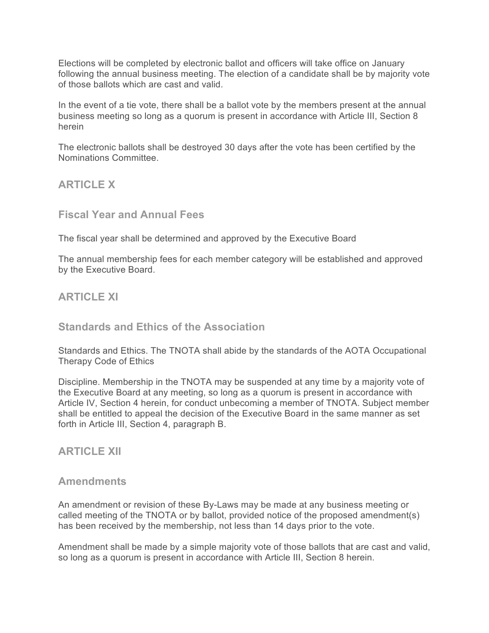Elections will be completed by electronic ballot and officers will take office on January following the annual business meeting. The election of a candidate shall be by majority vote of those ballots which are cast and valid.

In the event of a tie vote, there shall be a ballot vote by the members present at the annual business meeting so long as a quorum is present in accordance with Article III, Section 8 herein

The electronic ballots shall be destroyed 30 days after the vote has been certified by the Nominations Committee.

**ARTICLE X**

**Fiscal Year and Annual Fees**

The fiscal year shall be determined and approved by the Executive Board

The annual membership fees for each member category will be established and approved by the Executive Board.

# **ARTICLE XI**

# **Standards and Ethics of the Association**

Standards and Ethics. The TNOTA shall abide by the standards of the AOTA Occupational Therapy Code of Ethics

Discipline. Membership in the TNOTA may be suspended at any time by a majority vote of the Executive Board at any meeting, so long as a quorum is present in accordance with Article IV, Section 4 herein, for conduct unbecoming a member of TNOTA. Subject member shall be entitled to appeal the decision of the Executive Board in the same manner as set forth in Article III, Section 4, paragraph B.

# **ARTICLE XII**

# **Amendments**

An amendment or revision of these By-Laws may be made at any business meeting or called meeting of the TNOTA or by ballot, provided notice of the proposed amendment(s) has been received by the membership, not less than 14 days prior to the vote.

Amendment shall be made by a simple majority vote of those ballots that are cast and valid, so long as a quorum is present in accordance with Article III, Section 8 herein.